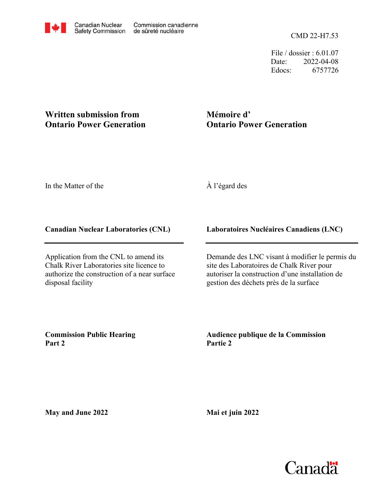File / dossier : 6.01.07 Date: 2022-04-08 Edocs: 6757726

# **Written submission from Ontario Power Generation**

# **Mémoire d' Ontario Power Generation**

In the Matter of the

# À l'égard des

#### **Canadian Nuclear Laboratories (CNL)**

Application from the CNL to amend its Chalk River Laboratories site licence to authorize the construction of a near surface disposal facility

### **Laboratoires Nucléaires Canadiens (LNC)**

Demande des LNC visant à modifier le permis du site des Laboratoires de Chalk River pour autoriser la construction d'une installation de gestion des déchets près de la surface

**Commission Public Hearing Part 2**

**Audience publique de la Commission Partie 2**

**May and June 2022**

**Mai et juin 2022**

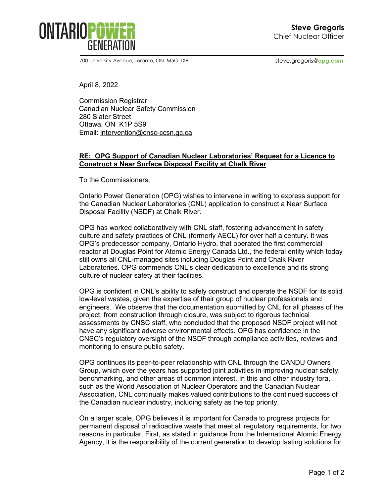

700 University Avenue, Toronto, ON M5G 1X6 steve.gregoris@opg.com

April 8, 2022

Commission Registrar Canadian Nuclear Safety Commission 280 Slater Street Ottawa, ON K1P 5S9 Email: [intervention@cnsc-ccsn.gc.ca](mailto:intervention@cnsc-ccsn.gc.ca)

#### **RE: OPG Support of Canadian Nuclear Laboratories' Request for a Licence to Construct a Near Surface Disposal Facility at Chalk River**

To the Commissioners,

Ontario Power Generation (OPG) wishes to intervene in writing to express support for the Canadian Nuclear Laboratories (CNL) application to construct a Near Surface Disposal Facility (NSDF) at Chalk River.

OPG has worked collaboratively with CNL staff, fostering advancement in safety culture and safety practices of CNL (formerly AECL) for over half a century. It was OPG's predecessor company, Ontario Hydro, that operated the first commercial reactor at Douglas Point for Atomic Energy Canada Ltd., the federal entity which today still owns all CNL-managed sites including Douglas Point and Chalk River Laboratories. OPG commends CNL's clear dedication to excellence and its strong culture of nuclear safety at their facilities.

OPG is confident in CNL's ability to safely construct and operate the NSDF for its solid low-level wastes, given the expertise of their group of nuclear professionals and engineers. We observe that the documentation submitted by CNL for all phases of the project, from construction through closure, was subject to rigorous technical assessments by CNSC staff, who concluded that the proposed NSDF project will not have any significant adverse environmental effects. OPG has confidence in the CNSC's regulatory oversight of the NSDF through compliance activities, reviews and monitoring to ensure public safety.

OPG continues its peer-to-peer relationship with CNL through the CANDU Owners Group, which over the years has supported joint activities in improving nuclear safety, benchmarking, and other areas of common interest. In this and other industry fora, such as the World Association of Nuclear Operators and the Canadian Nuclear Association, CNL continually makes valued contributions to the continued success of the Canadian nuclear industry, including safety as the top priority.

On a larger scale, OPG believes it is important for Canada to progress projects for permanent disposal of radioactive waste that meet all regulatory requirements, for two reasons in particular. First, as stated in guidance from the International Atomic Energy Agency, it is the responsibility of the current generation to develop lasting solutions for